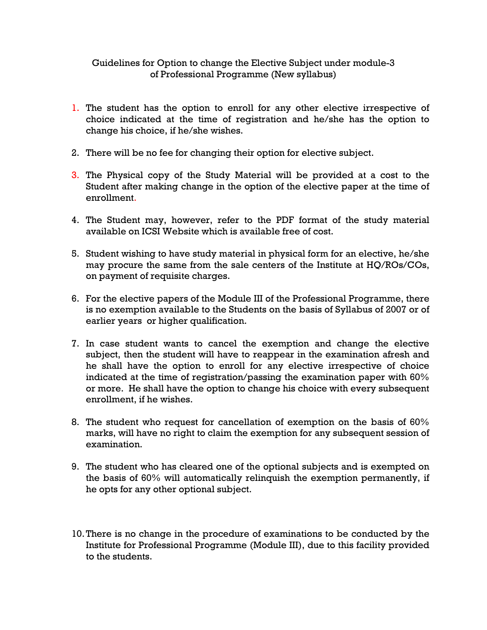## Guidelines for Option to change the Elective Subject under module-3 of Professional Programme (New syllabus)

- 1. The student has the option to enroll for any other elective irrespective of choice indicated at the time of registration and he/she has the option to change his choice, if he/she wishes.
- 2. There will be no fee for changing their option for elective subject.
- 3. The Physical copy of the Study Material will be provided at a cost to the Student after making change in the option of the elective paper at the time of enrollment.
- 4. The Student may, however, refer to the PDF format of the study material available on ICSI Website which is available free of cost.
- 5. Student wishing to have study material in physical form for an elective, he/she may procure the same from the sale centers of the Institute at HQ/ROs/COs, on payment of requisite charges.
- 6. For the elective papers of the Module III of the Professional Programme, there is no exemption available to the Students on the basis of Syllabus of 2007 or of earlier years or higher qualification.
- 7. In case student wants to cancel the exemption and change the elective subject, then the student will have to reappear in the examination afresh and he shall have the option to enroll for any elective irrespective of choice indicated at the time of registration/passing the examination paper with 60% or more. He shall have the option to change his choice with every subsequent enrollment, if he wishes.
- 8. The student who request for cancellation of exemption on the basis of 60% marks, will have no right to claim the exemption for any subsequent session of examination.
- 9. The student who has cleared one of the optional subjects and is exempted on the basis of 60% will automatically relinquish the exemption permanently, if he opts for any other optional subject.
- 10.There is no change in the procedure of examinations to be conducted by the Institute for Professional Programme (Module III), due to this facility provided to the students.